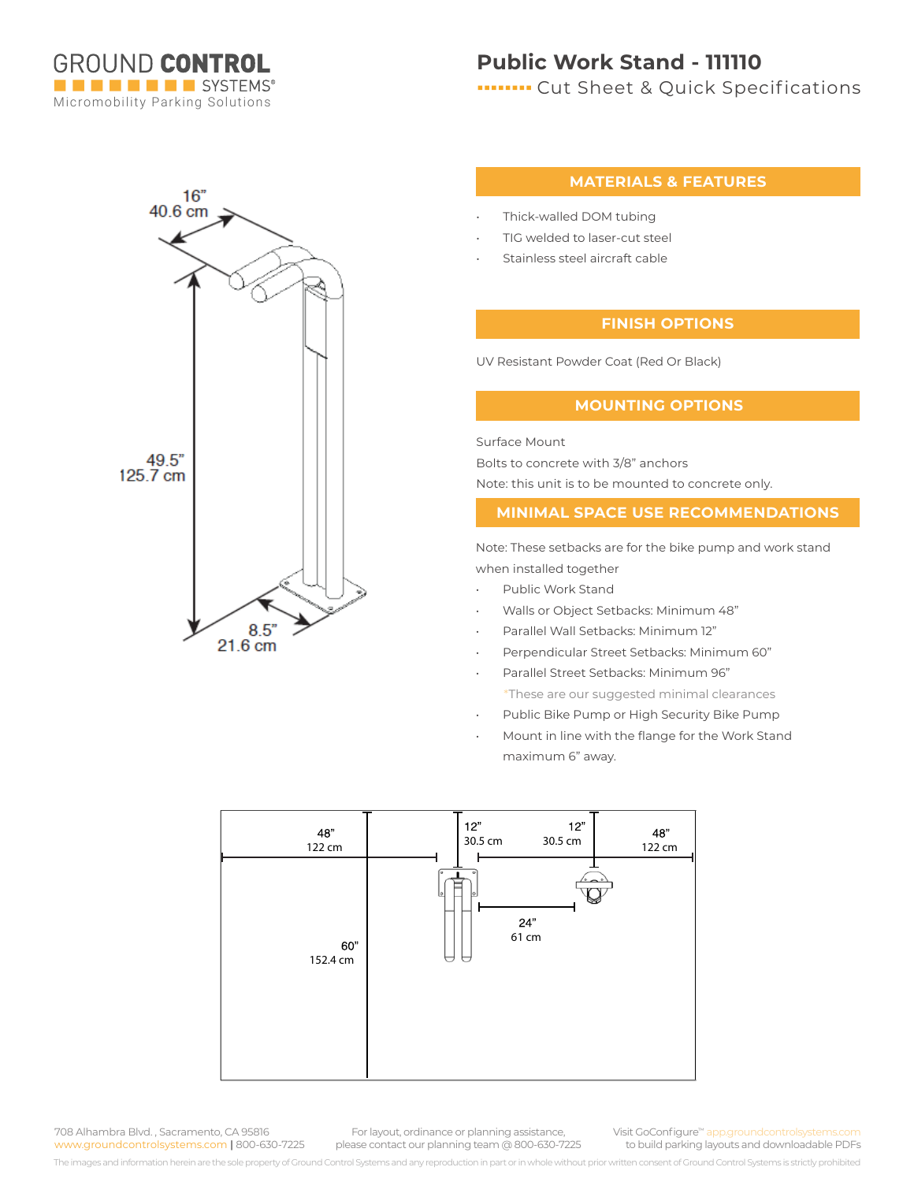

## **Public Work Stand - 111110**

**ITTITION** Cut Sheet & Quick Specifications



#### **MATERIALS & FEATURES**

- Thick-walled DOM tubing
- TIG welded to laser-cut steel
- Stainless steel aircraft cable

### **FINISH OPTIONS**

UV Resistant Powder Coat (Red Or Black)

#### **MOUNTING OPTIONS**

Surface Mount Bolts to concrete with 3/8" anchors Note: this unit is to be mounted to concrete only.

#### **MINIMAL SPACE USE RECOMMENDATIONS**

Note: These setbacks are for the bike pump and work stand when installed together

- Public Work Stand
- Walls or Object Setbacks: Minimum 48"
- Parallel Wall Setbacks: Minimum 12"
- Perpendicular Street Setbacks: Minimum 60"
- Parallel Street Setbacks: Minimum 96"
- \*These are our suggested minimal clearances
- Public Bike Pump or High Security Bike Pump
- Mount in line with the flange for the Work Stand maximum 6" away.



708 Alhambra Blvd. , Sacramento, CA 95816 www.groundcontrolsystems.com **|** 800-630-7225

For layout, ordinance or planning assistance, please contact our planning team @ 800-630-7225 Visit GoConfigure™ app.groundcontrolsystem to build parking layouts and downloadable PDFs

The images and information herein are the sole property of Ground Control Systems and any reproduction in part or in whole without prior written consent of Ground Control Systems is strictly prohibited